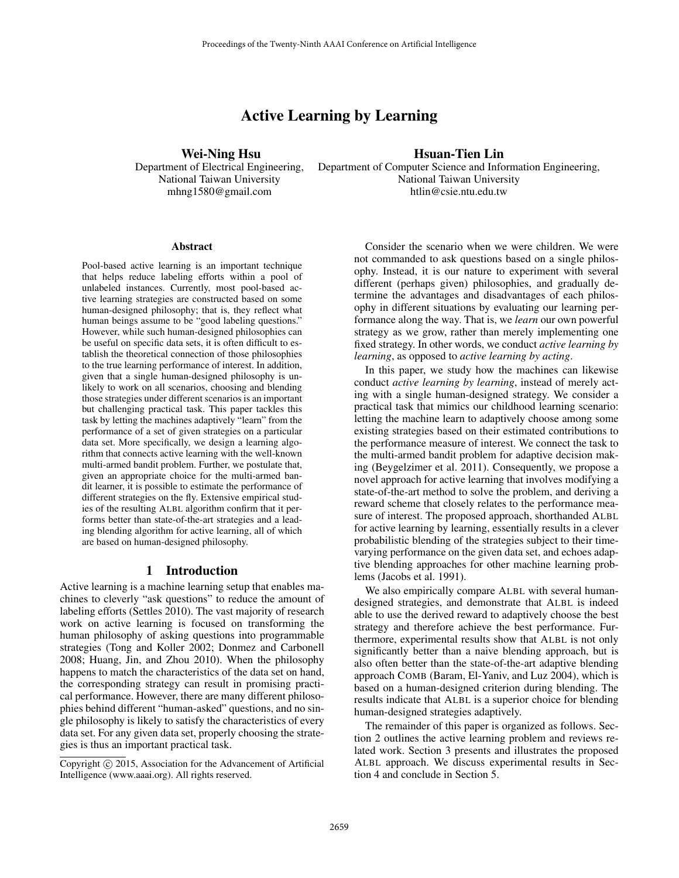# Active Learning by Learning

Wei-Ning Hsu Department of Electrical Engineering, National Taiwan University mhng1580@gmail.com

# Hsuan-Tien Lin

Department of Computer Science and Information Engineering, National Taiwan University htlin@csie.ntu.edu.tw

#### Abstract

Pool-based active learning is an important technique that helps reduce labeling efforts within a pool of unlabeled instances. Currently, most pool-based active learning strategies are constructed based on some human-designed philosophy; that is, they reflect what human beings assume to be "good labeling questions." However, while such human-designed philosophies can be useful on specific data sets, it is often difficult to establish the theoretical connection of those philosophies to the true learning performance of interest. In addition, given that a single human-designed philosophy is unlikely to work on all scenarios, choosing and blending those strategies under different scenarios is an important but challenging practical task. This paper tackles this task by letting the machines adaptively "learn" from the performance of a set of given strategies on a particular data set. More specifically, we design a learning algorithm that connects active learning with the well-known multi-armed bandit problem. Further, we postulate that, given an appropriate choice for the multi-armed bandit learner, it is possible to estimate the performance of different strategies on the fly. Extensive empirical studies of the resulting ALBL algorithm confirm that it performs better than state-of-the-art strategies and a leading blending algorithm for active learning, all of which are based on human-designed philosophy.

#### 1 Introduction

Active learning is a machine learning setup that enables machines to cleverly "ask questions" to reduce the amount of labeling efforts (Settles 2010). The vast majority of research work on active learning is focused on transforming the human philosophy of asking questions into programmable strategies (Tong and Koller 2002; Donmez and Carbonell 2008; Huang, Jin, and Zhou 2010). When the philosophy happens to match the characteristics of the data set on hand, the corresponding strategy can result in promising practical performance. However, there are many different philosophies behind different "human-asked" questions, and no single philosophy is likely to satisfy the characteristics of every data set. For any given data set, properly choosing the strategies is thus an important practical task.

Consider the scenario when we were children. We were not commanded to ask questions based on a single philosophy. Instead, it is our nature to experiment with several different (perhaps given) philosophies, and gradually determine the advantages and disadvantages of each philosophy in different situations by evaluating our learning performance along the way. That is, we *learn* our own powerful strategy as we grow, rather than merely implementing one fixed strategy. In other words, we conduct *active learning by learning*, as opposed to *active learning by acting*.

In this paper, we study how the machines can likewise conduct *active learning by learning*, instead of merely acting with a single human-designed strategy. We consider a practical task that mimics our childhood learning scenario: letting the machine learn to adaptively choose among some existing strategies based on their estimated contributions to the performance measure of interest. We connect the task to the multi-armed bandit problem for adaptive decision making (Beygelzimer et al. 2011). Consequently, we propose a novel approach for active learning that involves modifying a state-of-the-art method to solve the problem, and deriving a reward scheme that closely relates to the performance measure of interest. The proposed approach, shorthanded ALBL for active learning by learning, essentially results in a clever probabilistic blending of the strategies subject to their timevarying performance on the given data set, and echoes adaptive blending approaches for other machine learning problems (Jacobs et al. 1991).

We also empirically compare ALBL with several humandesigned strategies, and demonstrate that ALBL is indeed able to use the derived reward to adaptively choose the best strategy and therefore achieve the best performance. Furthermore, experimental results show that ALBL is not only significantly better than a naive blending approach, but is also often better than the state-of-the-art adaptive blending approach COMB (Baram, El-Yaniv, and Luz 2004), which is based on a human-designed criterion during blending. The results indicate that ALBL is a superior choice for blending human-designed strategies adaptively.

The remainder of this paper is organized as follows. Section 2 outlines the active learning problem and reviews related work. Section 3 presents and illustrates the proposed ALBL approach. We discuss experimental results in Section 4 and conclude in Section 5.

Copyright (c) 2015, Association for the Advancement of Artificial Intelligence (www.aaai.org). All rights reserved.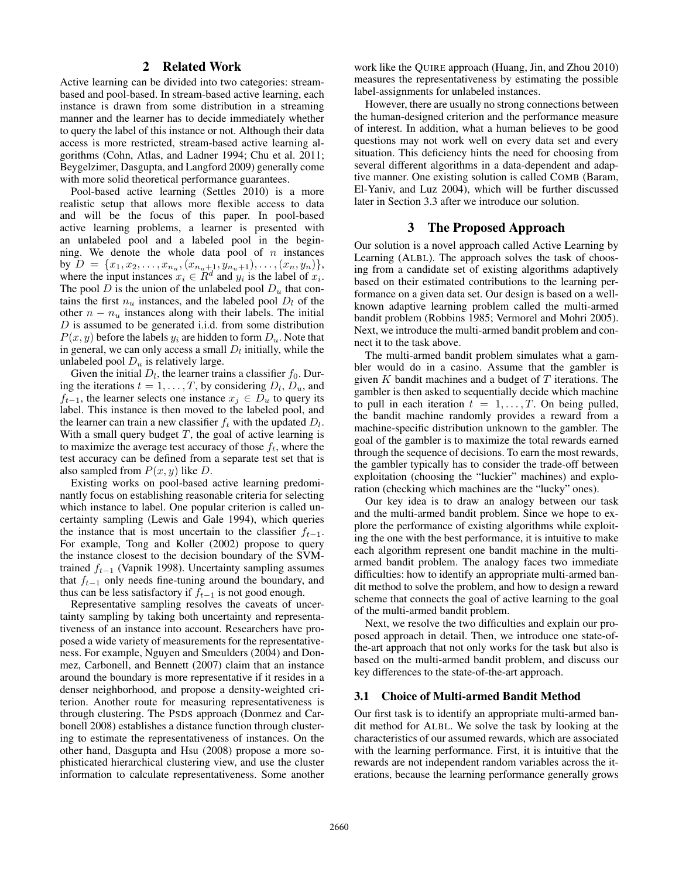# 2 Related Work

Active learning can be divided into two categories: streambased and pool-based. In stream-based active learning, each instance is drawn from some distribution in a streaming manner and the learner has to decide immediately whether to query the label of this instance or not. Although their data access is more restricted, stream-based active learning algorithms (Cohn, Atlas, and Ladner 1994; Chu et al. 2011; Beygelzimer, Dasgupta, and Langford 2009) generally come with more solid theoretical performance guarantees.

Pool-based active learning (Settles 2010) is a more realistic setup that allows more flexible access to data and will be the focus of this paper. In pool-based active learning problems, a learner is presented with an unlabeled pool and a labeled pool in the beginning. We denote the whole data pool of  $n$  instances by  $D = \{x_1, x_2, \ldots, x_{n_u}, (x_{n_u+1}, y_{n_u+1}), \ldots, (x_n, y_n)\},\$ where the input instances  $x_i \in R^d$  and  $y_i$  is the label of  $x_i$ . The pool D is the union of the unlabeled pool  $D_u$  that contains the first  $n_u$  instances, and the labeled pool  $D_l$  of the other  $n - n_u$  instances along with their labels. The initial  $D$  is assumed to be generated i.i.d. from some distribution  $P(x, y)$  before the labels  $y_i$  are hidden to form  $D_u$ . Note that in general, we can only access a small  $D_l$  initially, while the unlabeled pool  $D_u$  is relatively large.

Given the initial  $D_l$ , the learner trains a classifier  $f_0$ . During the iterations  $t = 1, \dots, T$ , by considering  $D_l$ ,  $D_u$ , and  $f_{t-1}$ , the learner selects one instance  $x_j \in D_u$  to query its label. This instance is then moved to the labeled pool, and the learner can train a new classifier  $f_t$  with the updated  $D_l$ . With a small query budget  $T$ , the goal of active learning is to maximize the average test accuracy of those  $f_t$ , where the test accuracy can be defined from a separate test set that is also sampled from  $P(x, y)$  like D.

Existing works on pool-based active learning predominantly focus on establishing reasonable criteria for selecting which instance to label. One popular criterion is called uncertainty sampling (Lewis and Gale 1994), which queries the instance that is most uncertain to the classifier  $f_{t-1}$ . For example, Tong and Koller (2002) propose to query the instance closest to the decision boundary of the SVMtrained  $f_{t-1}$  (Vapnik 1998). Uncertainty sampling assumes that  $f_{t-1}$  only needs fine-tuning around the boundary, and thus can be less satisfactory if  $f_{t-1}$  is not good enough.

Representative sampling resolves the caveats of uncertainty sampling by taking both uncertainty and representativeness of an instance into account. Researchers have proposed a wide variety of measurements for the representativeness. For example, Nguyen and Smeulders (2004) and Donmez, Carbonell, and Bennett (2007) claim that an instance around the boundary is more representative if it resides in a denser neighborhood, and propose a density-weighted criterion. Another route for measuring representativeness is through clustering. The PSDS approach (Donmez and Carbonell 2008) establishes a distance function through clustering to estimate the representativeness of instances. On the other hand, Dasgupta and Hsu (2008) propose a more sophisticated hierarchical clustering view, and use the cluster information to calculate representativeness. Some another

work like the QUIRE approach (Huang, Jin, and Zhou 2010) measures the representativeness by estimating the possible label-assignments for unlabeled instances.

However, there are usually no strong connections between the human-designed criterion and the performance measure of interest. In addition, what a human believes to be good questions may not work well on every data set and every situation. This deficiency hints the need for choosing from several different algorithms in a data-dependent and adaptive manner. One existing solution is called COMB (Baram, El-Yaniv, and Luz 2004), which will be further discussed later in Section 3.3 after we introduce our solution.

#### 3 The Proposed Approach

Our solution is a novel approach called Active Learning by Learning (ALBL). The approach solves the task of choosing from a candidate set of existing algorithms adaptively based on their estimated contributions to the learning performance on a given data set. Our design is based on a wellknown adaptive learning problem called the multi-armed bandit problem (Robbins 1985; Vermorel and Mohri 2005). Next, we introduce the multi-armed bandit problem and connect it to the task above.

The multi-armed bandit problem simulates what a gambler would do in a casino. Assume that the gambler is given K bandit machines and a budget of  $T$  iterations. The gambler is then asked to sequentially decide which machine to pull in each iteration  $t = 1, \ldots, T$ . On being pulled, the bandit machine randomly provides a reward from a machine-specific distribution unknown to the gambler. The goal of the gambler is to maximize the total rewards earned through the sequence of decisions. To earn the most rewards, the gambler typically has to consider the trade-off between exploitation (choosing the "luckier" machines) and exploration (checking which machines are the "lucky" ones).

Our key idea is to draw an analogy between our task and the multi-armed bandit problem. Since we hope to explore the performance of existing algorithms while exploiting the one with the best performance, it is intuitive to make each algorithm represent one bandit machine in the multiarmed bandit problem. The analogy faces two immediate difficulties: how to identify an appropriate multi-armed bandit method to solve the problem, and how to design a reward scheme that connects the goal of active learning to the goal of the multi-armed bandit problem.

Next, we resolve the two difficulties and explain our proposed approach in detail. Then, we introduce one state-ofthe-art approach that not only works for the task but also is based on the multi-armed bandit problem, and discuss our key differences to the state-of-the-art approach.

# 3.1 Choice of Multi-armed Bandit Method

Our first task is to identify an appropriate multi-armed bandit method for ALBL. We solve the task by looking at the characteristics of our assumed rewards, which are associated with the learning performance. First, it is intuitive that the rewards are not independent random variables across the iterations, because the learning performance generally grows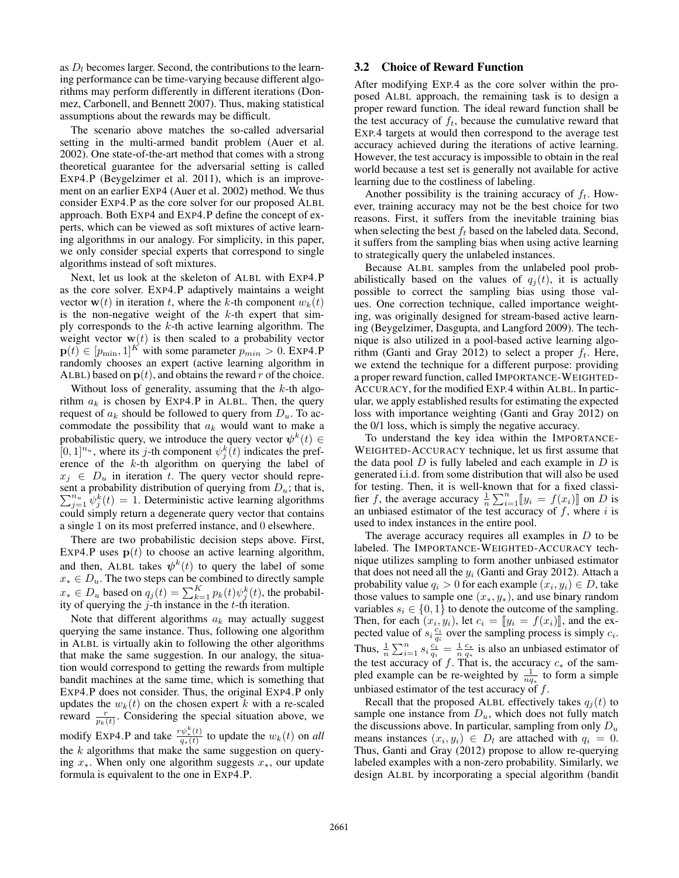as  $D_l$  becomes larger. Second, the contributions to the learning performance can be time-varying because different algorithms may perform differently in different iterations (Donmez, Carbonell, and Bennett 2007). Thus, making statistical assumptions about the rewards may be difficult.

The scenario above matches the so-called adversarial setting in the multi-armed bandit problem (Auer et al. 2002). One state-of-the-art method that comes with a strong theoretical guarantee for the adversarial setting is called EXP4.P (Beygelzimer et al. 2011), which is an improvement on an earlier EXP4 (Auer et al. 2002) method. We thus consider EXP4.P as the core solver for our proposed ALBL approach. Both EXP4 and EXP4.P define the concept of experts, which can be viewed as soft mixtures of active learning algorithms in our analogy. For simplicity, in this paper, we only consider special experts that correspond to single algorithms instead of soft mixtures.

Next, let us look at the skeleton of ALBL with EXP4.P as the core solver. EXP4.P adaptively maintains a weight vector  $\mathbf{w}(t)$  in iteration t, where the k-th component  $w_k(t)$ is the non-negative weight of the  $k$ -th expert that simply corresponds to the  $k$ -th active learning algorithm. The weight vector  $w(t)$  is then scaled to a probability vector  $\mathbf{p}(t) \in [p_{\min}, 1]^{K}$  with some parameter  $p_{\min} > 0$ . EXP4.P randomly chooses an expert (active learning algorithm in ALBL) based on  $p(t)$ , and obtains the reward r of the choice.

Without loss of generality, assuming that the  $k$ -th algorithm  $a_k$  is chosen by EXP4.P in ALBL. Then, the query request of  $a_k$  should be followed to query from  $D_u$ . To accommodate the possibility that  $a_k$  would want to make a probabilistic query, we introduce the query vector  $\psi^k(t) \in$  $[0, 1]^{n_u}$ , where its *j*-th component  $\psi_j^k(t)$  indicates the preference of the k-th algorithm on querying the label of  $x_i \in D_u$  in iteration t. The query vector should represent a probability distribution of querying from  $D_u$ ; that is,  $\sum_{j=1}^{n_u} \psi_j^k(t) = 1$ . Deterministic active learning algorithms could simply return a degenerate query vector that contains a single 1 on its most preferred instance, and 0 elsewhere.

There are two probabilistic decision steps above. First, EXP4.P uses  $p(t)$  to choose an active learning algorithm, and then, ALBL takes  $\psi^k(t)$  to query the label of some  $x_* \in D_u$ . The two steps can be combined to directly sample  $x_* \in D_u$  based on  $q_j(t) = \sum_{k=1}^K p_k(t) \psi_j^k(t)$ , the probability of querying the  $j$ -th instance in the t-th iteration.

Note that different algorithms  $a_k$  may actually suggest querying the same instance. Thus, following one algorithm in ALBL is virtually akin to following the other algorithms that make the same suggestion. In our analogy, the situation would correspond to getting the rewards from multiple bandit machines at the same time, which is something that EXP4.P does not consider. Thus, the original EXP4.P only updates the  $w_k(t)$  on the chosen expert k with a re-scaled reward  $\frac{r}{p_k(t)}$ . Considering the special situation above, we modify Exp4.P and take  $\frac{r\psi_*^k(t)}{q_+(t)}$  $\frac{\psi_*(t)}{q_*(t)}$  to update the  $w_k(t)$  on *all* the  $k$  algorithms that make the same suggestion on querying  $x<sub>*</sub>$ . When only one algorithm suggests  $x<sub>*</sub>$ , our update formula is equivalent to the one in EXP4.P.

# 3.2 Choice of Reward Function

After modifying EXP.4 as the core solver within the proposed ALBL approach, the remaining task is to design a proper reward function. The ideal reward function shall be the test accuracy of  $f_t$ , because the cumulative reward that EXP.4 targets at would then correspond to the average test accuracy achieved during the iterations of active learning. However, the test accuracy is impossible to obtain in the real world because a test set is generally not available for active learning due to the costliness of labeling.

Another possibility is the training accuracy of  $f_t$ . However, training accuracy may not be the best choice for two reasons. First, it suffers from the inevitable training bias when selecting the best  $f_t$  based on the labeled data. Second, it suffers from the sampling bias when using active learning to strategically query the unlabeled instances.

Because ALBL samples from the unlabeled pool probabilistically based on the values of  $q_i(t)$ , it is actually possible to correct the sampling bias using those values. One correction technique, called importance weighting, was originally designed for stream-based active learning (Beygelzimer, Dasgupta, and Langford 2009). The technique is also utilized in a pool-based active learning algorithm (Ganti and Gray 2012) to select a proper  $f_t$ . Here, we extend the technique for a different purpose: providing a proper reward function, called IMPORTANCE-WEIGHTED-ACCURACY, for the modified EXP.4 within ALBL. In particular, we apply established results for estimating the expected loss with importance weighting (Ganti and Gray 2012) on the 0/1 loss, which is simply the negative accuracy.

To understand the key idea within the IMPORTANCE-WEIGHTED-ACCURACY technique, let us first assume that the data pool  $D$  is fully labeled and each example in  $D$  is generated i.i.d. from some distribution that will also be used for testing. Then, it is well-known that for a fixed classifier f, the average accuracy  $\frac{1}{n} \sum_{i=1}^{n} [y_i = f(x_i)]$  on D is<br>an unbiased estimator of the test accuracy of f, where i is an unbiased estimator of the test accuracy of  $f$ , where  $i$  is used to index instances in the entire pool.

The average accuracy requires all examples in  $D$  to be labeled. The IMPORTANCE-WEIGHTED-ACCURACY technique utilizes sampling to form another unbiased estimator that does not need all the  $y_i$  (Ganti and Gray 2012). Attach a probability value  $q_i>0$  for each example  $(x_i,y_i)\in D,$  take those values to sample one  $(x_*, y_*)$ , and use binary random variables  $s_i \in \{0, 1\}$  to denote the outcome of the sampling. Then, for each  $(x_i, y_i)$ , let  $c_i = [y_i = f(x_i)]$ , and the ex-<br>pected value of s.  $\frac{c_i}{y_i}$  over the sampling process is simply c. pected value of  $s_i \frac{c_i}{q_i}$  over the sampling process is simply  $c_i$ . Thus,  $\frac{1}{n} \sum_{i=1}^{n} s_i \frac{c_i^i}{q_i} = \frac{1}{n} \frac{c_*}{q_*}$  is also an unbiased estimator of the test accuracy of f. That is, the accuracy  $c_*$  of the sampled example can be re-weighted by  $\frac{1}{nq_*}$  to form a simple unbiased estimator of the test accuracy of  $f$ .

Recall that the proposed ALBL effectively takes  $q_i(t)$  to sample one instance from  $D<sub>u</sub>$ , which does not fully match the discussions above. In particular, sampling from only  $D_u$ means instances  $(x_i, y_i) \in D_l$  are attached with  $q_i = 0$ . Thus, Ganti and Gray (2012) propose to allow re-querying labeled examples with a non-zero probability. Similarly, we design ALBL by incorporating a special algorithm (bandit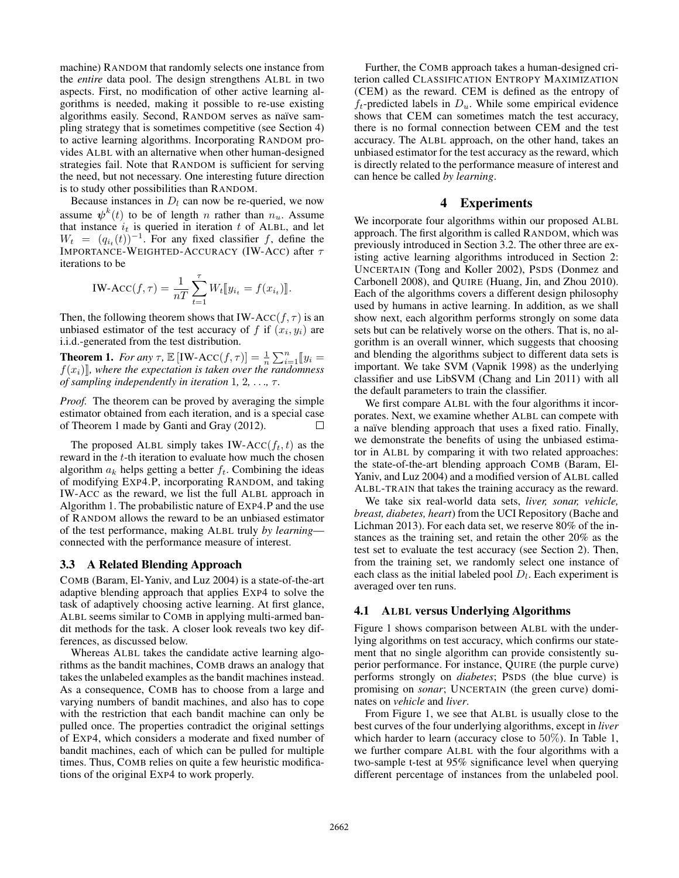machine) RANDOM that randomly selects one instance from the *entire* data pool. The design strengthens ALBL in two aspects. First, no modification of other active learning algorithms is needed, making it possible to re-use existing algorithms easily. Second, RANDOM serves as naïve sampling strategy that is sometimes competitive (see Section 4) to active learning algorithms. Incorporating RANDOM provides ALBL with an alternative when other human-designed strategies fail. Note that RANDOM is sufficient for serving the need, but not necessary. One interesting future direction is to study other possibilities than RANDOM.

Because instances in  $D_l$  can now be re-queried, we now assume  $\psi^k(t)$  to be of length n rather than  $n_u$ . Assume that instance  $i_t$  is queried in iteration t of ALBL, and let  $W_t = (q_{i_t}(t))^{-1}$ . For any fixed classifier f, define the IMPORTANCE-WEIGHTED-ACCURACY (IW-ACC) after  $\tau$ iterations to be

$$
IW\text{-}ACC(f,\tau) = \frac{1}{nT} \sum_{t=1}^{\tau} W_t [y_{i_t} = f(x_{i_t})].
$$

Then, the following theorem shows that IW-ACC( $f, \tau$ ) is an unbiased estimator of the test accuracy of f if  $(x_i, y_i)$  are i.i.d.-generated from the test distribution.

**Theorem 1.** For any  $\tau$ ,  $\mathbb{E}[\text{IW-ACC}(f, \tau)] = \frac{1}{n} \sum_{i=1}^{n} [y_i]$ <br>  $f(x_i)$  where the expectation is taken over the randomness  $f(x_i)$ , where the expectation is taken over the randomness *of sampling independently in iteration* 1*,* 2*,* . . .*,* τ *.*

*Proof.* The theorem can be proved by averaging the simple estimator obtained from each iteration, and is a special case of Theorem 1 made by Ganti and Gray (2012).  $\Box$ 

The proposed ALBL simply takes IW-ACC( $f_t, t$ ) as the reward in the t-th iteration to evaluate how much the chosen algorithm  $a_k$  helps getting a better  $f_t$ . Combining the ideas of modifying EXP4.P, incorporating RANDOM, and taking IW-ACC as the reward, we list the full ALBL approach in Algorithm 1. The probabilistic nature of EXP4.P and the use of RANDOM allows the reward to be an unbiased estimator of the test performance, making ALBL truly *by learning* connected with the performance measure of interest.

#### 3.3 A Related Blending Approach

COMB (Baram, El-Yaniv, and Luz 2004) is a state-of-the-art adaptive blending approach that applies EXP4 to solve the task of adaptively choosing active learning. At first glance, ALBL seems similar to COMB in applying multi-armed bandit methods for the task. A closer look reveals two key differences, as discussed below.

Whereas ALBL takes the candidate active learning algorithms as the bandit machines, COMB draws an analogy that takes the unlabeled examples as the bandit machines instead. As a consequence, COMB has to choose from a large and varying numbers of bandit machines, and also has to cope with the restriction that each bandit machine can only be pulled once. The properties contradict the original settings of EXP4, which considers a moderate and fixed number of bandit machines, each of which can be pulled for multiple times. Thus, COMB relies on quite a few heuristic modifications of the original EXP4 to work properly.

Further, the COMB approach takes a human-designed criterion called CLASSIFICATION ENTROPY MAXIMIZATION (CEM) as the reward. CEM is defined as the entropy of  $f_t$ -predicted labels in  $D_u$ . While some empirical evidence shows that CEM can sometimes match the test accuracy, there is no formal connection between CEM and the test accuracy. The ALBL approach, on the other hand, takes an unbiased estimator for the test accuracy as the reward, which is directly related to the performance measure of interest and can hence be called *by learning*.

#### 4 Experiments

We incorporate four algorithms within our proposed ALBL approach. The first algorithm is called RANDOM, which was previously introduced in Section 3.2. The other three are existing active learning algorithms introduced in Section 2: UNCERTAIN (Tong and Koller 2002), PSDS (Donmez and Carbonell 2008), and QUIRE (Huang, Jin, and Zhou 2010). Each of the algorithms covers a different design philosophy used by humans in active learning. In addition, as we shall show next, each algorithm performs strongly on some data sets but can be relatively worse on the others. That is, no algorithm is an overall winner, which suggests that choosing and blending the algorithms subject to different data sets is important. We take SVM (Vapnik 1998) as the underlying classifier and use LibSVM (Chang and Lin 2011) with all the default parameters to train the classifier.

We first compare ALBL with the four algorithms it incorporates. Next, we examine whether ALBL can compete with a naïve blending approach that uses a fixed ratio. Finally, we demonstrate the benefits of using the unbiased estimator in ALBL by comparing it with two related approaches: the state-of-the-art blending approach COMB (Baram, El-Yaniv, and Luz 2004) and a modified version of ALBL called ALBL-TRAIN that takes the training accuracy as the reward.

We take six real-world data sets, *liver, sonar, vehicle, breast, diabetes, heart*) from the UCI Repository (Bache and Lichman 2013). For each data set, we reserve 80% of the instances as the training set, and retain the other 20% as the test set to evaluate the test accuracy (see Section 2). Then, from the training set, we randomly select one instance of each class as the initial labeled pool  $D_l$ . Each experiment is averaged over ten runs.

#### 4.1 ALBL versus Underlying Algorithms

Figure 1 shows comparison between ALBL with the underlying algorithms on test accuracy, which confirms our statement that no single algorithm can provide consistently superior performance. For instance, QUIRE (the purple curve) performs strongly on *diabetes*; PSDS (the blue curve) is promising on *sonar*; UNCERTAIN (the green curve) dominates on *vehicle* and *liver*.

From Figure 1, we see that ALBL is usually close to the best curves of the four underlying algorithms, except in *liver* which harder to learn (accuracy close to 50%). In Table 1, we further compare ALBL with the four algorithms with a two-sample t-test at 95% significance level when querying different percentage of instances from the unlabeled pool.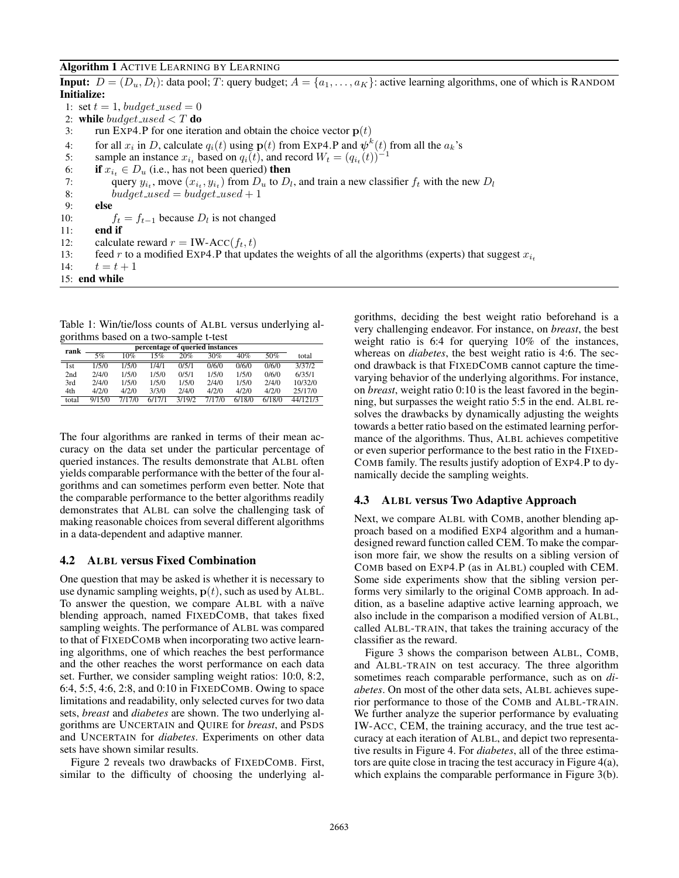#### Algorithm 1 ACTIVE LEARNING BY LEARNING

**Input:**  $D = (D_u, D_l)$ : data pool; T: query budget;  $A = \{a_1, \ldots, a_K\}$ : active learning algorithms, one of which is RANDOM Initialize: 1: set  $t = 1$ , budget\_used = 0 2: while budget\_used  $\langle T \, \mathbf{d} \, \mathbf{0} \rangle$ 3: run EXP4.P for one iteration and obtain the choice vector  $p(t)$ 4: for all  $x_i$  in D, calculate  $q_i(t)$  using  $p(t)$  from EXP4.P and  $\psi^k(t)$  from all the  $a_k$ 's 5: sample an instance  $x_{i_t}$  based on  $q_i(t)$ , and record  $W_t = (q_{i_t}(t))^{-1}$ 6: **if**  $x_{i_t} \in D_u$  (i.e., has not been queried) **then**<br>7: **query**  $y_{i_t}$ , move  $(x_{i_t}, y_{i_t})$  from  $D_u$  to  $D_l$ 7: query  $y_{i_t}$ , move  $(x_{i_t}, y_{i_t})$  from  $D_u$  to  $D_l$ , and train a new classifier  $f_t$  with the new  $D_l$ 8: budget\_used = budget\_used + 1 9: else 10:  $f_t = f_{t-1}$  because  $D_l$  is not changed 11: end if 12: calculate reward  $r = \text{IW-ACC}(f_t, t)$ 13: feed r to a modified EXP4.P that updates the weights of all the algorithms (experts) that suggest  $x_{i_t}$ <br>14:  $t = t + 1$  $t = t + 1$ 15: end while

Table 1: Win/tie/loss counts of ALBL versus underlying algorithms based on a two-sample t-test

| -     |                                 |        |        |        |        |        |        |          |
|-------|---------------------------------|--------|--------|--------|--------|--------|--------|----------|
| rank  | percentage of queried instances |        |        |        |        |        |        |          |
|       | 5%                              | 10%    | 15%    | 20%    | 30%    | 40%    | 50%    | total    |
| 1st   | 1/5/0                           | 1/5/0  | 1/4/1  | 0/5/1  | 0/6/0  | 0/6/0  | 0/6/0  | 3/37/2   |
| 2nd   | 2/4/0                           | 1/5/0  | 1/5/0  | 0/5/1  | 1/5/0  | 1/5/0  | 0/6/0  | 6/35/1   |
| 3rd   | 2/4/0                           | 1/5/0  | 1/5/0  | 1/5/0  | 2/4/0  | 1/5/0  | 2/4/0  | 10/32/0  |
| 4th   | 4/2/0                           | 4/2/0  | 3/3/0  | 2/4/0  | 4/2/0  | 4/2/0  | 4/2/0  | 25/17/0  |
| total | 9/15/0                          | 7/17/0 | 6/17/1 | 3/19/2 | 7/17/0 | 6/18/0 | 6/18/0 | 44/121/3 |

The four algorithms are ranked in terms of their mean accuracy on the data set under the particular percentage of queried instances. The results demonstrate that ALBL often yields comparable performance with the better of the four algorithms and can sometimes perform even better. Note that the comparable performance to the better algorithms readily demonstrates that ALBL can solve the challenging task of making reasonable choices from several different algorithms in a data-dependent and adaptive manner.

# 4.2 ALBL versus Fixed Combination

One question that may be asked is whether it is necessary to use dynamic sampling weights,  $p(t)$ , such as used by ALBL. To answer the question, we compare ALBL with a naïve blending approach, named FIXEDCOMB, that takes fixed sampling weights. The performance of ALBL was compared to that of FIXEDCOMB when incorporating two active learning algorithms, one of which reaches the best performance and the other reaches the worst performance on each data set. Further, we consider sampling weight ratios: 10:0, 8:2, 6:4, 5:5, 4:6, 2:8, and 0:10 in FIXEDCOMB. Owing to space limitations and readability, only selected curves for two data sets, *breast* and *diabetes* are shown. The two underlying algorithms are UNCERTAIN and QUIRE for *breast*, and PSDS and UNCERTAIN for *diabetes*. Experiments on other data sets have shown similar results.

Figure 2 reveals two drawbacks of FIXEDCOMB. First, similar to the difficulty of choosing the underlying algorithms, deciding the best weight ratio beforehand is a very challenging endeavor. For instance, on *breast*, the best weight ratio is 6:4 for querying 10% of the instances, whereas on *diabetes*, the best weight ratio is 4:6. The second drawback is that FIXEDCOMB cannot capture the timevarying behavior of the underlying algorithms. For instance, on *breast*, weight ratio 0:10 is the least favored in the beginning, but surpasses the weight ratio 5:5 in the end. ALBL resolves the drawbacks by dynamically adjusting the weights towards a better ratio based on the estimated learning performance of the algorithms. Thus, ALBL achieves competitive or even superior performance to the best ratio in the FIXED-COMB family. The results justify adoption of EXP4.P to dynamically decide the sampling weights.

### 4.3 ALBL versus Two Adaptive Approach

Next, we compare ALBL with COMB, another blending approach based on a modified EXP4 algorithm and a humandesigned reward function called CEM. To make the comparison more fair, we show the results on a sibling version of COMB based on EXP4.P (as in ALBL) coupled with CEM. Some side experiments show that the sibling version performs very similarly to the original COMB approach. In addition, as a baseline adaptive active learning approach, we also include in the comparison a modified version of ALBL, called ALBL-TRAIN, that takes the training accuracy of the classifier as the reward.

Figure 3 shows the comparison between ALBL, COMB, and ALBL-TRAIN on test accuracy. The three algorithm sometimes reach comparable performance, such as on *diabetes*. On most of the other data sets, ALBL achieves superior performance to those of the COMB and ALBL-TRAIN. We further analyze the superior performance by evaluating IW-ACC, CEM, the training accuracy, and the true test accuracy at each iteration of ALBL, and depict two representative results in Figure 4. For *diabetes*, all of the three estimators are quite close in tracing the test accuracy in Figure 4(a), which explains the comparable performance in Figure 3(b).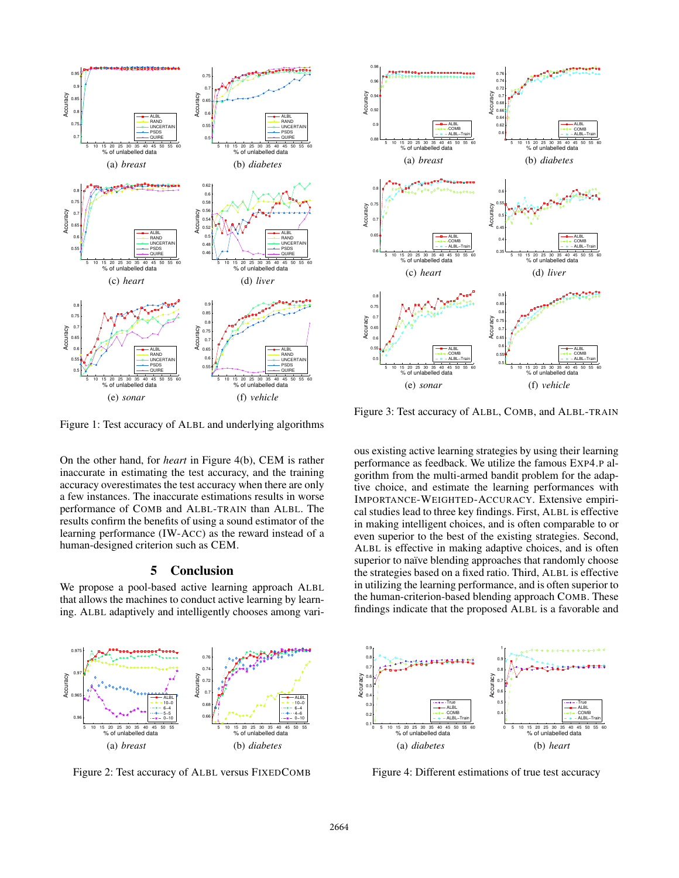

5 10 15 20 25 30 35 40 45 50 55 60 % of unlabelled data 0.88 0.9  $0.92 +$  $0.94$  $0.96$   $\vert$  $0.98<sub>f</sub>$ Accuracy ALBL COMB ALBL−Train (a) *breast* 5 10 15 20 25 30 35 40 45 50 55 60 % of unlabelled data  $0.6$  $0.62H$  $0.64$  $0.66$   $\frac{1}{5}$  $0.68 +$  $\overline{0}$ .  $0.72$ 0.74  $0.76 +$ Accuracy ALBL COMB ALBL−Train (b) *diabetes* 5 10 15 20 25 30 35 40 45 50 55 60 % of unlabelled data  $0.6$   $\frac{1}{2}$  $0.65 +$  $0.7H$  $0.75$   $\vert \cdot \vert$ 0.8 Accuracy ALBL COMB ALBL−Train (c) *heart* 5 10 15 20 25 30 35 40 45 50 55 60  $0.35 0.4$  $0.45 +$  $0.5$   $\Gamma$ .  $0.55<sub>g</sub>$ 0.6 % of unlabelled data Accuracy ALBL COMB ALBL−Train (d) *liver* 5 10 15 20 25 30 35 40 45 50 55 60 % of unlabelled data  $0.5 \, | \cdot |$  $0.55<sub>4</sub>$ 0.6 0.65 0.7  $0.75 +$ 0.8 Accuracy ALBL COMB ALBL−Train (e) *sonar* 5 10 15 20 25 30 35 40 45 50 55 60 % of unlabelled data  $0.5 0.55%$  $0.6$  .  $0.65 +$ 0.7  $0.75 +$ 0.8  $0.85 +$ 0.9 Accuracy ALBL COMB ALBL−Train (f) *vehicle*

Figure 1: Test accuracy of ALBL and underlying algorithms

On the other hand, for *heart* in Figure 4(b), CEM is rather inaccurate in estimating the test accuracy, and the training accuracy overestimates the test accuracy when there are only a few instances. The inaccurate estimations results in worse performance of COMB and ALBL-TRAIN than ALBL. The results confirm the benefits of using a sound estimator of the learning performance (IW-ACC) as the reward instead of a human-designed criterion such as CEM.

## 5 Conclusion

We propose a pool-based active learning approach ALBL that allows the machines to conduct active learning by learning. ALBL adaptively and intelligently chooses among vari-

Figure 3: Test accuracy of ALBL, COMB, and ALBL-TRAIN

ous existing active learning strategies by using their learning performance as feedback. We utilize the famous EXP4.P algorithm from the multi-armed bandit problem for the adaptive choice, and estimate the learning performances with IMPORTANCE-WEIGHTED-ACCURACY. Extensive empirical studies lead to three key findings. First, ALBL is effective in making intelligent choices, and is often comparable to or even superior to the best of the existing strategies. Second, ALBL is effective in making adaptive choices, and is often superior to naïve blending approaches that randomly choose the strategies based on a fixed ratio. Third, ALBL is effective in utilizing the learning performance, and is often superior to the human-criterion-based blending approach COMB. These findings indicate that the proposed ALBL is a favorable and



Figure 2: Test accuracy of ALBL versus FIXEDCOMB



Figure 4: Different estimations of true test accuracy